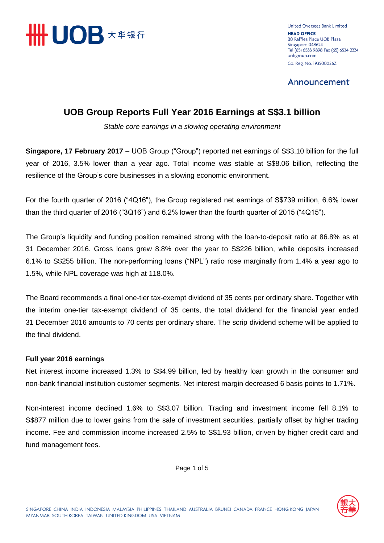

United Overseas Bank Limited **HEAD OFFICE** 80 Raffles Place UOB Plaza Singapore 048624 Tel (65) 6533 9898 Fax (65) 6534 2334 uobgroup.com Co. Reg. No. 193500026Z

Announcement

## **UOB Group Reports Full Year 2016 Earnings at S\$3.1 billion**

*Stable core earnings in a slowing operating environment*

**Singapore, 17 February 2017** – UOB Group ("Group") reported net earnings of S\$3.10 billion for the full year of 2016, 3.5% lower than a year ago. Total income was stable at S\$8.06 billion, reflecting the resilience of the Group's core businesses in a slowing economic environment.

For the fourth quarter of 2016 ("4Q16"), the Group registered net earnings of S\$739 million, 6.6% lower than the third quarter of 2016 ("3Q16") and 6.2% lower than the fourth quarter of 2015 ("4Q15").

The Group's liquidity and funding position remained strong with the loan-to-deposit ratio at 86.8% as at 31 December 2016. Gross loans grew 8.8% over the year to S\$226 billion, while deposits increased 6.1% to S\$255 billion. The non-performing loans ("NPL") ratio rose marginally from 1.4% a year ago to 1.5%, while NPL coverage was high at 118.0%.

The Board recommends a final one-tier tax-exempt dividend of 35 cents per ordinary share. Together with the interim one-tier tax-exempt dividend of 35 cents, the total dividend for the financial year ended 31 December 2016 amounts to 70 cents per ordinary share. The scrip dividend scheme will be applied to the final dividend.

#### **Full year 2016 earnings**

Net interest income increased 1.3% to S\$4.99 billion, led by healthy loan growth in the consumer and non-bank financial institution customer segments. Net interest margin decreased 6 basis points to 1.71%.

Non-interest income declined 1.6% to S\$3.07 billion. Trading and investment income fell 8.1% to S\$877 million due to lower gains from the sale of investment securities, partially offset by higher trading income. Fee and commission income increased 2.5% to S\$1.93 billion, driven by higher credit card and fund management fees.

Page 1 of 5

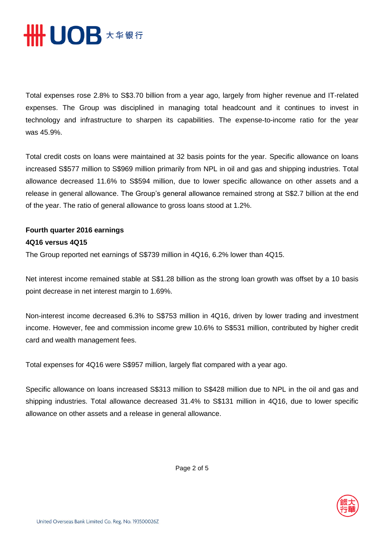

Total expenses rose 2.8% to S\$3.70 billion from a year ago, largely from higher revenue and IT-related expenses. The Group was disciplined in managing total headcount and it continues to invest in technology and infrastructure to sharpen its capabilities. The expense-to-income ratio for the year was 45.9%.

Total credit costs on loans were maintained at 32 basis points for the year. Specific allowance on loans increased S\$577 million to S\$969 million primarily from NPL in oil and gas and shipping industries. Total allowance decreased 11.6% to S\$594 million, due to lower specific allowance on other assets and a release in general allowance. The Group's general allowance remained strong at S\$2.7 billion at the end of the year. The ratio of general allowance to gross loans stood at 1.2%.

### **Fourth quarter 2016 earnings 4Q16 versus 4Q15**

The Group reported net earnings of S\$739 million in 4Q16, 6.2% lower than 4Q15.

Net interest income remained stable at S\$1.28 billion as the strong loan growth was offset by a 10 basis point decrease in net interest margin to 1.69%.

Non-interest income decreased 6.3% to S\$753 million in 4Q16, driven by lower trading and investment income. However, fee and commission income grew 10.6% to S\$531 million, contributed by higher credit card and wealth management fees.

Total expenses for 4Q16 were S\$957 million, largely flat compared with a year ago.

Specific allowance on loans increased S\$313 million to S\$428 million due to NPL in the oil and gas and shipping industries. Total allowance decreased 31.4% to S\$131 million in 4Q16, due to lower specific allowance on other assets and a release in general allowance.



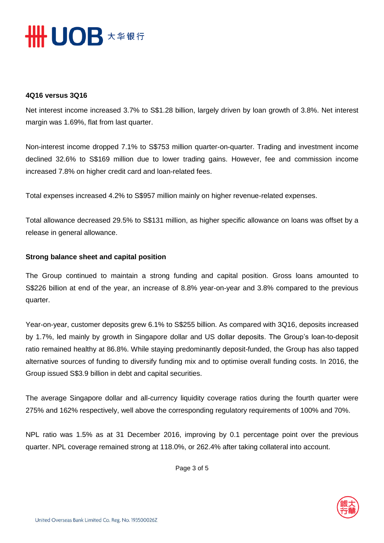

#### **4Q16 versus 3Q16**

Net interest income increased 3.7% to S\$1.28 billion, largely driven by loan growth of 3.8%. Net interest margin was 1.69%, flat from last quarter.

Non-interest income dropped 7.1% to S\$753 million quarter-on-quarter. Trading and investment income declined 32.6% to S\$169 million due to lower trading gains. However, fee and commission income increased 7.8% on higher credit card and loan-related fees.

Total expenses increased 4.2% to S\$957 million mainly on higher revenue-related expenses.

Total allowance decreased 29.5% to S\$131 million, as higher specific allowance on loans was offset by a release in general allowance.

#### **Strong balance sheet and capital position**

The Group continued to maintain a strong funding and capital position. Gross loans amounted to S\$226 billion at end of the year, an increase of 8.8% year-on-year and 3.8% compared to the previous quarter.

Year-on-year, customer deposits grew 6.1% to S\$255 billion. As compared with 3Q16, deposits increased by 1.7%, led mainly by growth in Singapore dollar and US dollar deposits. The Group's loan-to-deposit ratio remained healthy at 86.8%. While staying predominantly deposit-funded, the Group has also tapped alternative sources of funding to diversify funding mix and to optimise overall funding costs. In 2016, the Group issued S\$3.9 billion in debt and capital securities.

The average Singapore dollar and all-currency liquidity coverage ratios during the fourth quarter were 275% and 162% respectively, well above the corresponding regulatory requirements of 100% and 70%.

NPL ratio was 1.5% as at 31 December 2016, improving by 0.1 percentage point over the previous quarter. NPL coverage remained strong at 118.0%, or 262.4% after taking collateral into account.

Page 3 of 5

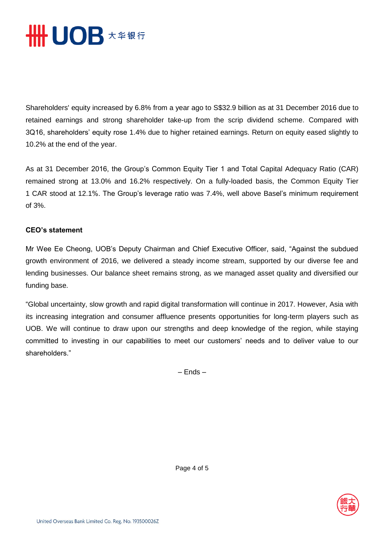

Shareholders' equity increased by 6.8% from a year ago to S\$32.9 billion as at 31 December 2016 due to retained earnings and strong shareholder take-up from the scrip dividend scheme. Compared with 3Q16, shareholders' equity rose 1.4% due to higher retained earnings. Return on equity eased slightly to 10.2% at the end of the year.

As at 31 December 2016, the Group's Common Equity Tier 1 and Total Capital Adequacy Ratio (CAR) remained strong at 13.0% and 16.2% respectively. On a fully-loaded basis, the Common Equity Tier 1 CAR stood at 12.1%. The Group's leverage ratio was 7.4%, well above Basel's minimum requirement of 3%.

#### **CEO's statement**

Mr Wee Ee Cheong, UOB's Deputy Chairman and Chief Executive Officer, said, "Against the subdued growth environment of 2016, we delivered a steady income stream, supported by our diverse fee and lending businesses. Our balance sheet remains strong, as we managed asset quality and diversified our funding base.

"Global uncertainty, slow growth and rapid digital transformation will continue in 2017. However, Asia with its increasing integration and consumer affluence presents opportunities for long-term players such as UOB. We will continue to draw upon our strengths and deep knowledge of the region, while staying committed to investing in our capabilities to meet our customers' needs and to deliver value to our shareholders."

– Ends –



Page 4 of 5